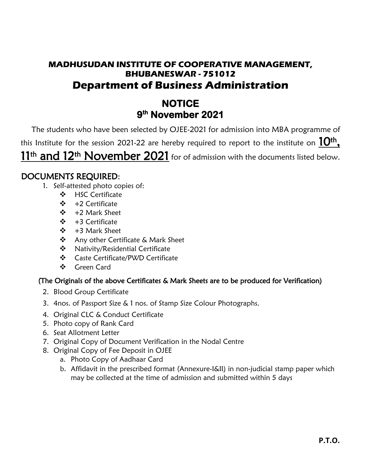## **MADHUSUDAN INSTITUTE OF COOPERATIVE MANAGEMENT, BHUBANESWAR - 751012 Department of Business Administration**

# **NOTICE 9 th November 2021**

The students who have been selected by OJEE-2021 for admission into MBA programme of this Institute for the session 2021-22 are hereby required to report to the institute on  $10^{\rm th}$  , 11<sup>th</sup> and 12<sup>th</sup> November 2021 for of admission with the documents listed below.

### DOCUMENTS REQUIRED:

- 1. Self-attested photo copies of:
	- ❖ HSC Certificate
	- ❖ +2 Certificate
	- ❖ +2 Mark Sheet
	- ❖ +3 Certificate
	- ❖ +3 Mark Sheet
	- ❖ Any other Certificate & Mark Sheet
	- ❖ Nativity/Residential Certificate
	- ❖ Caste Certificate/PWD Certificate
	- ❖ Green Card

### (The Originals of the above Certificates & Mark Sheets are to be produced for Verification)

- 2. Blood Group Certificate
- 3. 4nos. of Passport Size & 1 nos. of Stamp Size Colour Photographs.
- 4. Original CLC & Conduct Certificate
- 5. Photo copy of Rank Card
- 6. Seat Allotment Letter
- 7. Original Copy of Document Verification in the Nodal Centre
- 8. Original Copy of Fee Deposit in OJEE
	- a. Photo Copy of Aadhaar Card
	- b. Affidavit in the prescribed format (Annexure-I&II) in non-judicial stamp paper which may be collected at the time of admission and submitted within 5 days